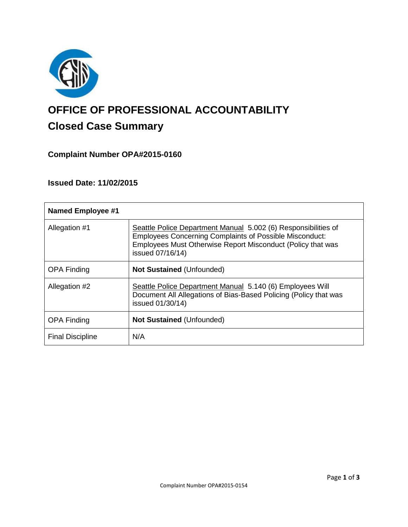

# **OFFICE OF PROFESSIONAL ACCOUNTABILITY Closed Case Summary**

# **Complaint Number OPA#2015-0160**

**Issued Date: 11/02/2015**

| <b>Named Employee #1</b> |                                                                                                                                                                                                                     |
|--------------------------|---------------------------------------------------------------------------------------------------------------------------------------------------------------------------------------------------------------------|
| Allegation #1            | Seattle Police Department Manual 5.002 (6) Responsibilities of<br><b>Employees Concerning Complaints of Possible Misconduct:</b><br>Employees Must Otherwise Report Misconduct (Policy that was<br>issued 07/16/14) |
| <b>OPA Finding</b>       | <b>Not Sustained (Unfounded)</b>                                                                                                                                                                                    |
| Allegation #2            | Seattle Police Department Manual 5.140 (6) Employees Will<br>Document All Allegations of Bias-Based Policing (Policy that was<br>issued 01/30/14)                                                                   |
| <b>OPA Finding</b>       | <b>Not Sustained (Unfounded)</b>                                                                                                                                                                                    |
| <b>Final Discipline</b>  | N/A                                                                                                                                                                                                                 |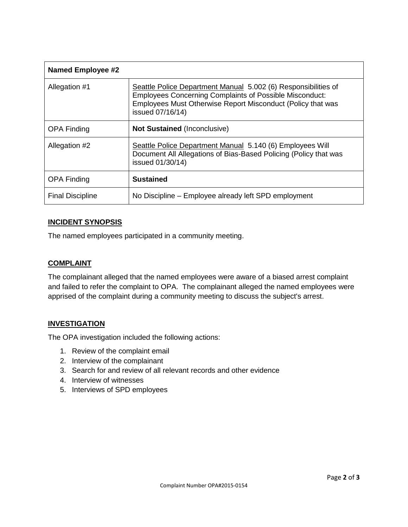| <b>Named Employee #2</b> |                                                                                                                                                                                                                     |
|--------------------------|---------------------------------------------------------------------------------------------------------------------------------------------------------------------------------------------------------------------|
| Allegation #1            | Seattle Police Department Manual 5.002 (6) Responsibilities of<br><b>Employees Concerning Complaints of Possible Misconduct:</b><br>Employees Must Otherwise Report Misconduct (Policy that was<br>issued 07/16/14) |
| <b>OPA Finding</b>       | <b>Not Sustained (Inconclusive)</b>                                                                                                                                                                                 |
| Allegation #2            | Seattle Police Department Manual 5.140 (6) Employees Will<br>Document All Allegations of Bias-Based Policing (Policy that was<br>issued 01/30/14)                                                                   |
| <b>OPA Finding</b>       | <b>Sustained</b>                                                                                                                                                                                                    |
| <b>Final Discipline</b>  | No Discipline – Employee already left SPD employment                                                                                                                                                                |

# **INCIDENT SYNOPSIS**

The named employees participated in a community meeting.

#### **COMPLAINT**

The complainant alleged that the named employees were aware of a biased arrest complaint and failed to refer the complaint to OPA. The complainant alleged the named employees were apprised of the complaint during a community meeting to discuss the subject's arrest.

## **INVESTIGATION**

The OPA investigation included the following actions:

- 1. Review of the complaint email
- 2. Interview of the complainant
- 3. Search for and review of all relevant records and other evidence
- 4. Interview of witnesses
- 5. Interviews of SPD employees